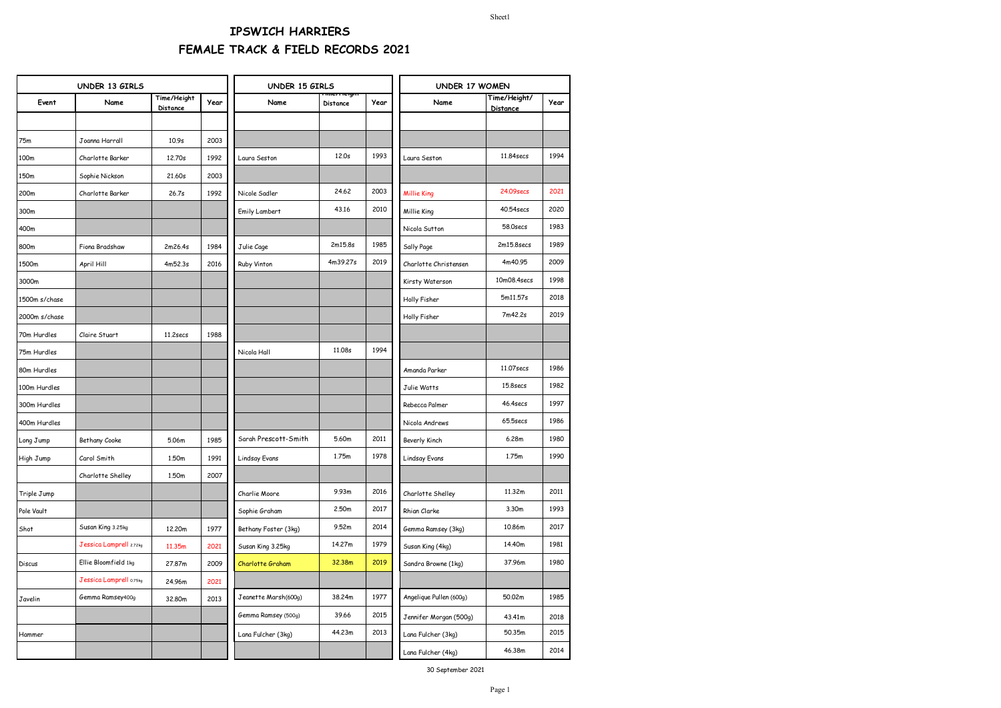| UNDER 13 GIRLS |                         |                         | UNDER 15 GIRLS |                      |                 | UNDER 17 WOMEN |                         |                                 |      |
|----------------|-------------------------|-------------------------|----------------|----------------------|-----------------|----------------|-------------------------|---------------------------------|------|
| Event          | Name                    | Time/Height<br>Distance | Year           | Name                 | <b>Distance</b> | Year           | Name                    | Time/Height/<br><b>Distance</b> | Year |
|                |                         |                         |                |                      |                 |                |                         |                                 |      |
| 75m            | Joanna Harrall          | 10.9s                   | 2003           |                      |                 |                |                         |                                 |      |
| 100m           | Charlotte Barker        | 12.70s                  | 1992           | Laura Seston         | 12.0s           | 1993           | Laura Seston            | 11,84secs                       | 1994 |
| 150m           | Sophie Nickson          | 21.60s                  | 2003           |                      |                 |                |                         |                                 |      |
| 200m           | Charlotte Barker        | 26.7s                   | 1992           | Nicole Sadler        | 24.62           | 2003           | <b>Millie King</b>      | 24.09secs                       | 2021 |
| 300m           |                         |                         |                | Emily Lambert        | 43,16           | 2010           | Millie King             | 40,54secs                       | 2020 |
| 400m           |                         |                         |                |                      |                 |                | Nicola Sutton           | 58.0secs                        | 1983 |
| 800m           | Fiona Bradshaw          | 2m26.4s                 | 1984           | Julie Cage           | 2m15.8s         | 1985           | Sally Page              | 2m15.8secs                      | 1989 |
| 1500m          | April Hill              | 4m52.3s                 | 2016           | Ruby Vinton          | 4m39.27s        | 2019           | Charlotte Christensen   | 4m40.95                         | 2009 |
| 3000m          |                         |                         |                |                      |                 |                | Kirsty Waterson         | 10m08.4secs                     | 1998 |
| 1500m s/chase  |                         |                         |                |                      |                 |                | Holly Fisher            | 5m11.57s                        | 2018 |
| 2000m s/chase  |                         |                         |                |                      |                 |                | Holly Fisher            | 7m42.2s                         | 2019 |
| 70m Hurdles    | Claire Stuart           | 11.2secs                | 1988           |                      |                 |                |                         |                                 |      |
| 75m Hurdles    |                         |                         |                | Nicola Hall          | 11,08s          | 1994           |                         |                                 |      |
| 80m Hurdles    |                         |                         |                |                      |                 |                | Amanda Parker           | 11,07 secs                      | 1986 |
| 100m Hurdles   |                         |                         |                |                      |                 |                | Julie Watts             | 15.8secs                        | 1982 |
| 300m Hurdles   |                         |                         |                |                      |                 |                | Rebecca Palmer          | 46.4secs                        | 1997 |
| 400m Hurdles   |                         |                         |                |                      |                 |                | Nicola Andrews          | 65.5secs                        | 1986 |
| Long Jump      | Bethany Cooke           | 5.06m                   | 1985           | Sarah Prescott-Smith | 5.60m           | 2011           | Beverly Kinch           | 6.28m                           | 1980 |
| High Jump      | Carol Smith             | 1.50m                   | 1991           | Lindsay Evans        | 1.75m           | 1978           | <b>Lindsay Evans</b>    | 1.75m                           | 1990 |
|                | Charlotte Shelley       | 1.50m                   | 2007           |                      |                 |                |                         |                                 |      |
| Triple Jump    |                         |                         |                | Charlie Moore        | 9.93m           | 2016           | Charlotte Shelley       | 11.32m                          | 2011 |
| Pole Vault     |                         |                         |                | Sophie Graham        | 2.50m           | 2017           | Rhian Clarke            | 3.30m                           | 1993 |
| Shot           | Susan King 3.25kg       | 12,20m                  | 1977           | Bethany Foster (3kg) | 9.52m           | 2014           | Gemma Ramsey (3kg)      | 10.86m                          | 2017 |
|                | Jessica Lamprell 2.72kg | 11.35m                  | 2021           | Susan King 3.25kg    | 14.27m          | 1979           | Susan King (4kg)        | 14.40m                          | 1981 |
| Discus         | Ellie Bloomfield 1kg    | 27.87m                  | 2009           | Charlotte Graham     | 32.38m          | 2019           | Sandra Browne (1kg)     | 37.96m                          | 1980 |
|                | Jessica Lamprell 0.75kg | 24.96m                  | 2021           |                      |                 |                |                         |                                 |      |
| Javelin        | Gemma Ramsey400g        | 32,80m                  | 2013           | Jeanette Marsh(600g) | 38.24m          | 1977           | Angelique Pullen (600g) | 50.02m                          | 1985 |
|                |                         |                         |                | Gemma Ramsey (500g)  | 39.66           | 2015           | Jennifer Morgan (500g)  | 43.41m                          | 2018 |
| Hammer         |                         |                         |                | Lana Fulcher (3kg)   | 44.23m          | 2013           | Lana Fulcher (3kg)      | 50.35m                          | 2015 |
|                |                         |                         |                |                      |                 |                | Lana Fulcher (4kg)      | 46.38m                          | 2014 |
|                |                         |                         |                |                      |                 |                |                         |                                 |      |

30 September 2021

Sheet1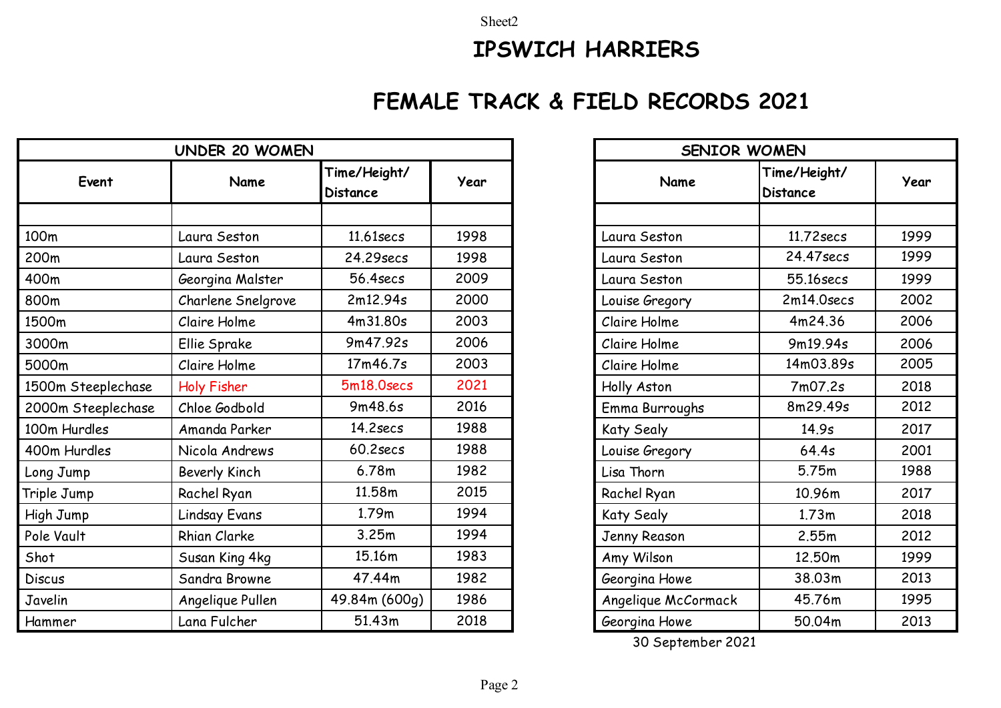Sheet2

## **IPSWICH HARRIERS**

# **FEMALE TRACK & FIELD RECORDS 2021**

| <b>UNDER 20 WOMEN</b> |                      |                                 |      |  |  |
|-----------------------|----------------------|---------------------------------|------|--|--|
| Event                 | Name                 | Time/Height/<br><b>Distance</b> | Year |  |  |
|                       |                      |                                 |      |  |  |
| 100 <sub>m</sub>      | Laura Seston         | 11,61secs                       | 1998 |  |  |
| 200m                  | Laura Seston         | 24.29secs                       | 1998 |  |  |
| 400m                  | Georgina Malster     | 56.4secs                        | 2009 |  |  |
| 800m                  | Charlene Snelgrove   | 2m12.94s                        | 2000 |  |  |
| 1500m                 | Claire Holme         | 4m31.80s                        | 2003 |  |  |
| 3000m                 | Ellie Sprake         | 9m47.92s                        | 2006 |  |  |
| 5000m                 | Claire Holme         | 17m46.7s                        | 2003 |  |  |
| 1500m Steeplechase    | Holy Fisher          | 5m18.0secs                      | 2021 |  |  |
| 2000m Steeplechase    | Chloe Godbold        | 9m48.6s                         | 2016 |  |  |
| 100m Hurdles          | Amanda Parker        | $14.2$ secs                     | 1988 |  |  |
| 400m Hurdles          | Nicola Andrews       | $60.2$ secs                     | 1988 |  |  |
| Long Jump             | Beverly Kinch        | 6.78m                           | 1982 |  |  |
| Triple Jump           | Rachel Ryan          | 11.58m                          | 2015 |  |  |
| High Jump             | <b>Lindsay Evans</b> | 1.79m                           | 1994 |  |  |
| Pole Vault            | <b>Rhian Clarke</b>  | 3.25m                           | 1994 |  |  |
| Shot                  | Susan King 4kg       | 15.16m                          | 1983 |  |  |
| <b>Discus</b>         | Sandra Browne        | 47.44m                          | 1982 |  |  |
| Javelin               | Angelique Pullen     | 49.84m (600g)                   | 1986 |  |  |
| Hammer                | Lana Fulcher         | 51.43m                          | 2018 |  |  |

|      |                     | SENIOR WOMEN                    |      |  |  |  |  |  |  |
|------|---------------------|---------------------------------|------|--|--|--|--|--|--|
| Year | Name                | Time/Height/<br><b>Distance</b> | Year |  |  |  |  |  |  |
|      |                     |                                 |      |  |  |  |  |  |  |
| 1998 | Laura Seston        | 11.72 secs                      | 1999 |  |  |  |  |  |  |
| 1998 | Laura Seston        | 24.47 secs                      | 1999 |  |  |  |  |  |  |
| 2009 | Laura Seston        | 55.16secs                       | 1999 |  |  |  |  |  |  |
| 2000 | Louise Gregory      | 2m14.0secs                      | 2002 |  |  |  |  |  |  |
| 2003 | Claire Holme        | 4m24.36                         | 2006 |  |  |  |  |  |  |
| 2006 | Claire Holme        | 9m19.94s                        | 2006 |  |  |  |  |  |  |
| 2003 | Claire Holme        | 14m03.89s                       | 2005 |  |  |  |  |  |  |
| 2021 | Holly Aston         | 7m07.2s                         | 2018 |  |  |  |  |  |  |
| 2016 | Emma Burroughs      | 8m29.49s                        | 2012 |  |  |  |  |  |  |
| 1988 | Katy Sealy          | 14.9s                           | 2017 |  |  |  |  |  |  |
| 1988 | Louise Gregory      | 64.4s                           | 2001 |  |  |  |  |  |  |
| 1982 | Lisa Thorn          | 5.75m                           | 1988 |  |  |  |  |  |  |
| 2015 | Rachel Ryan         | 10.96m                          | 2017 |  |  |  |  |  |  |
| 1994 | Katy Sealy          | 1.73m                           | 2018 |  |  |  |  |  |  |
| 1994 | Jenny Reason        | 2.55m                           | 2012 |  |  |  |  |  |  |
| 1983 | Amy Wilson          | 12.50m                          | 1999 |  |  |  |  |  |  |
| 1982 | Georgina Howe       | 38.03m                          | 2013 |  |  |  |  |  |  |
| 1986 | Angelique McCormack | 45.76m                          | 1995 |  |  |  |  |  |  |
| 2018 | Georgina Howe       | 50.04m                          | 2013 |  |  |  |  |  |  |

30 September 2021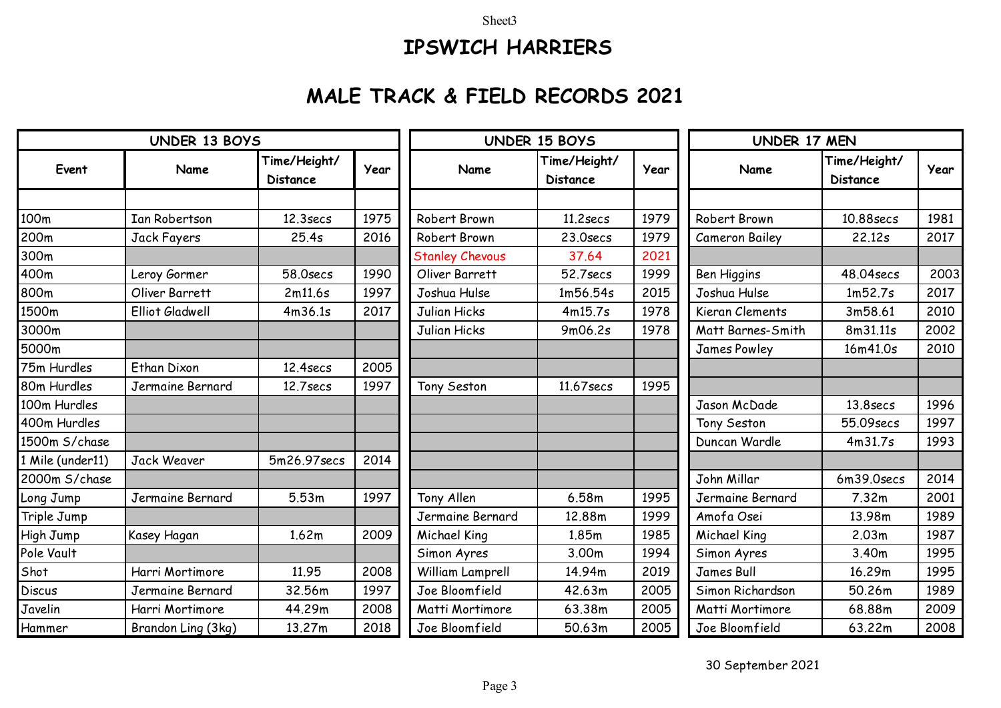#### Sheet3

# **IPSWICH HARRIERS**

### **MALE TRACK & FIELD RECORDS 2021**

| <b>UNDER 13 BOYS</b> |                        |                                 |      | <b>UNDER 15 BOYS</b>   |                                 |      | UNDER 17 MEN          |                                 |      |
|----------------------|------------------------|---------------------------------|------|------------------------|---------------------------------|------|-----------------------|---------------------------------|------|
| Event                | Name                   | Time/Height/<br><b>Distance</b> | Year | Name                   | Time/Height/<br><b>Distance</b> | Year | Name                  | Time/Height/<br><b>Distance</b> | Year |
|                      |                        |                                 |      |                        |                                 |      |                       |                                 |      |
| 100m                 | <b>Ian Robertson</b>   | 12.3 <sub>sec</sub>             | 1975 | Robert Brown           | $11.2$ secs                     | 1979 | Robert Brown          | 10.88secs                       | 1981 |
| 200m                 | Jack Fayers            | 25.4s                           | 2016 | Robert Brown           | 23.0secs                        | 1979 | <b>Cameron Bailey</b> | 22.12s                          | 2017 |
| 300m                 |                        |                                 |      | <b>Stanley Chevous</b> | 37.64                           | 2021 |                       |                                 |      |
| 400m                 | Leroy Gormer           | 58.0secs                        | 1990 | Oliver Barrett         | 52.7secs                        | 1999 | Ben Higgins           | 48.04secs                       | 2003 |
| 800m                 | Oliver Barrett         | 2m11.6s                         | 1997 | Joshua Hulse           | 1m56.54s                        | 2015 | Joshua Hulse          | 1m52.7s                         | 2017 |
| 1500m                | <b>Elliot Gladwell</b> | 4m36.1s                         | 2017 | Julian Hicks           | 4m15.7s                         | 1978 | Kieran Clements       | 3m58.61                         | 2010 |
| 3000m                |                        |                                 |      | Julian Hicks           | 9m06.2s                         | 1978 | Matt Barnes-Smith     | 8m31.11s                        | 2002 |
| 5000m                |                        |                                 |      |                        |                                 |      | <b>James Powley</b>   | 16m41.0s                        | 2010 |
| 75m Hurdles          | <b>Ethan Dixon</b>     | 12.4 <sub>sec</sub>             | 2005 |                        |                                 |      |                       |                                 |      |
| 80m Hurdles          | Jermaine Bernard       | $12.7$ secs                     | 1997 | Tony Seston            | 11,67 secs                      | 1995 |                       |                                 |      |
| 100m Hurdles         |                        |                                 |      |                        |                                 |      | Jason McDade          | 13.8 <sub>sec</sub>             | 1996 |
| 400m Hurdles         |                        |                                 |      |                        |                                 |      | Tony Seston           | 55.09secs                       | 1997 |
| 1500m S/chase        |                        |                                 |      |                        |                                 |      | Duncan Wardle         | 4m31.7s                         | 1993 |
| 1 Mile (under11)     | <b>Jack Weaver</b>     | 5m26.97secs                     | 2014 |                        |                                 |      |                       |                                 |      |
| 2000m S/chase        |                        |                                 |      |                        |                                 |      | John Millar           | 6m39.0secs                      | 2014 |
| Long Jump            | Jermaine Bernard       | 5.53m                           | 1997 | Tony Allen             | 6.58m                           | 1995 | Jermaine Bernard      | 7.32m                           | 2001 |
| Triple Jump          |                        |                                 |      | Jermaine Bernard       | 12.88m                          | 1999 | Amofa Osei            | 13.98m                          | 1989 |
| High Jump            | Kasey Hagan            | 1.62m                           | 2009 | Michael King           | 1.85m                           | 1985 | Michael King          | 2.03m                           | 1987 |
| Pole Vault           |                        |                                 |      | Simon Ayres            | 3.00m                           | 1994 | Simon Ayres           | 3.40m                           | 1995 |
| Shot                 | Harri Mortimore        | 11.95                           | 2008 | William Lamprell       | 14.94m                          | 2019 | <b>James Bull</b>     | 16.29m                          | 1995 |
| <b>Discus</b>        | Jermaine Bernard       | 32.56m                          | 1997 | Joe Bloomfield         | 42.63m                          | 2005 | Simon Richardson      | 50.26m                          | 1989 |
| Javelin              | Harri Mortimore        | 44.29m                          | 2008 | Matti Mortimore        | 63.38m                          | 2005 | Matti Mortimore       | 68.88m                          | 2009 |
| Hammer               | Brandon Ling (3kg)     | 13.27m                          | 2018 | Joe Bloomfield         | 50.63m                          | 2005 | Joe Bloomfield        | 63.22m                          | 2008 |